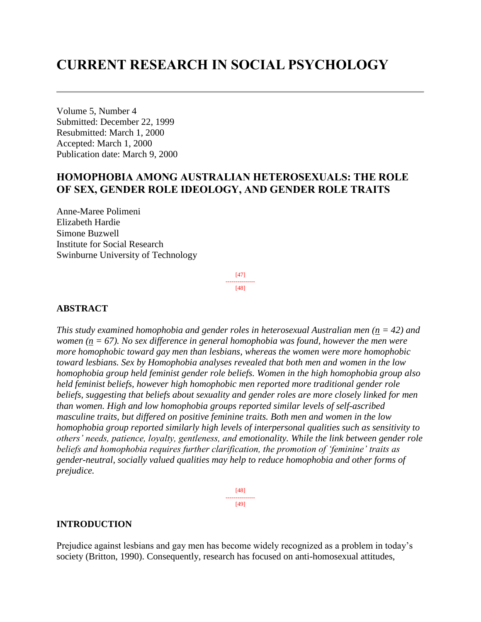# **CURRENT RESEARCH IN SOCIAL PSYCHOLOGY**

Volume 5, Number 4 Submitted: December 22, 1999 Resubmitted: March 1, 2000 Accepted: March 1, 2000 Publication date: March 9, 2000

# **HOMOPHOBIA AMONG AUSTRALIAN HETEROSEXUALS: THE ROLE OF SEX, GENDER ROLE IDEOLOGY, AND GENDER ROLE TRAITS**

Anne-Maree Polimeni Elizabeth Hardie Simone Buzwell Institute for Social Research Swinburne University of Technology

> [47] --------------- [48]

#### **ABSTRACT**

*This study examined homophobia and gender roles in heterosexual Australian men (n = 42) and women* ( $n = 67$ ). No sex difference in general homophobia was found, however the men were *more homophobic toward gay men than lesbians, whereas the women were more homophobic toward lesbians. Sex by Homophobia analyses revealed that both men and women in the low homophobia group held feminist gender role beliefs. Women in the high homophobia group also held feminist beliefs, however high homophobic men reported more traditional gender role beliefs, suggesting that beliefs about sexuality and gender roles are more closely linked for men than women. High and low homophobia groups reported similar levels of self-ascribed masculine traits, but differed on positive feminine traits. Both men and women in the low homophobia group reported similarly high levels of interpersonal qualities such as sensitivity to others' needs, patience, loyalty, gentleness, and emotionality. While the link between gender role beliefs and homophobia requires further clarification, the promotion of 'feminine' traits as gender-neutral, socially valued qualities may help to reduce homophobia and other forms of prejudice.*

> [48] --------------- [49]

#### **INTRODUCTION**

Prejudice against lesbians and gay men has become widely recognized as a problem in today's society (Britton, 1990). Consequently, research has focused on anti-homosexual attitudes,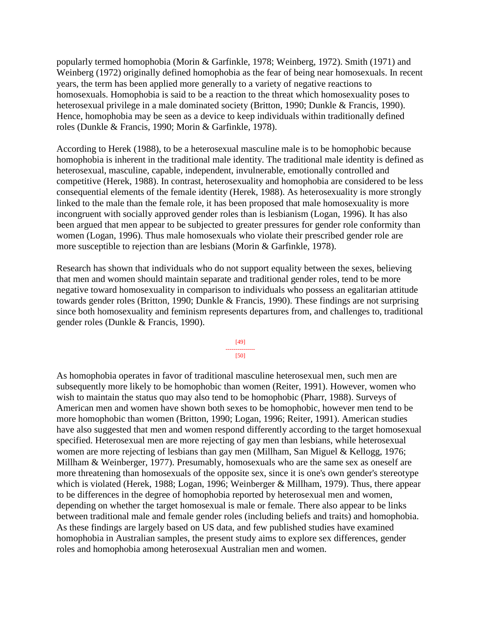popularly termed homophobia (Morin & Garfinkle, 1978; Weinberg, 1972). Smith (1971) and Weinberg (1972) originally defined homophobia as the fear of being near homosexuals. In recent years, the term has been applied more generally to a variety of negative reactions to homosexuals. Homophobia is said to be a reaction to the threat which homosexuality poses to heterosexual privilege in a male dominated society (Britton, 1990; Dunkle & Francis, 1990). Hence, homophobia may be seen as a device to keep individuals within traditionally defined roles (Dunkle & Francis, 1990; Morin & Garfinkle, 1978).

According to Herek (1988), to be a heterosexual masculine male is to be homophobic because homophobia is inherent in the traditional male identity. The traditional male identity is defined as heterosexual, masculine, capable, independent, invulnerable, emotionally controlled and competitive (Herek, 1988). In contrast, heterosexuality and homophobia are considered to be less consequential elements of the female identity (Herek, 1988). As heterosexuality is more strongly linked to the male than the female role, it has been proposed that male homosexuality is more incongruent with socially approved gender roles than is lesbianism (Logan, 1996). It has also been argued that men appear to be subjected to greater pressures for gender role conformity than women (Logan, 1996). Thus male homosexuals who violate their prescribed gender role are more susceptible to rejection than are lesbians (Morin & Garfinkle, 1978).

Research has shown that individuals who do not support equality between the sexes, believing that men and women should maintain separate and traditional gender roles, tend to be more negative toward homosexuality in comparison to individuals who possess an egalitarian attitude towards gender roles (Britton, 1990; Dunkle & Francis, 1990). These findings are not surprising since both homosexuality and feminism represents departures from, and challenges to, traditional gender roles (Dunkle & Francis, 1990).

> [49] --------------- [50]

As homophobia operates in favor of traditional masculine heterosexual men, such men are subsequently more likely to be homophobic than women (Reiter, 1991). However, women who wish to maintain the status quo may also tend to be homophobic (Pharr, 1988). Surveys of American men and women have shown both sexes to be homophobic, however men tend to be more homophobic than women (Britton, 1990; Logan, 1996; Reiter, 1991). American studies have also suggested that men and women respond differently according to the target homosexual specified. Heterosexual men are more rejecting of gay men than lesbians, while heterosexual women are more rejecting of lesbians than gay men (Millham, San Miguel & Kellogg, 1976; Millham & Weinberger, 1977). Presumably, homosexuals who are the same sex as oneself are more threatening than homosexuals of the opposite sex, since it is one's own gender's stereotype which is violated (Herek, 1988; Logan, 1996; Weinberger & Millham, 1979). Thus, there appear to be differences in the degree of homophobia reported by heterosexual men and women, depending on whether the target homosexual is male or female. There also appear to be links between traditional male and female gender roles (including beliefs and traits) and homophobia. As these findings are largely based on US data, and few published studies have examined homophobia in Australian samples, the present study aims to explore sex differences, gender roles and homophobia among heterosexual Australian men and women.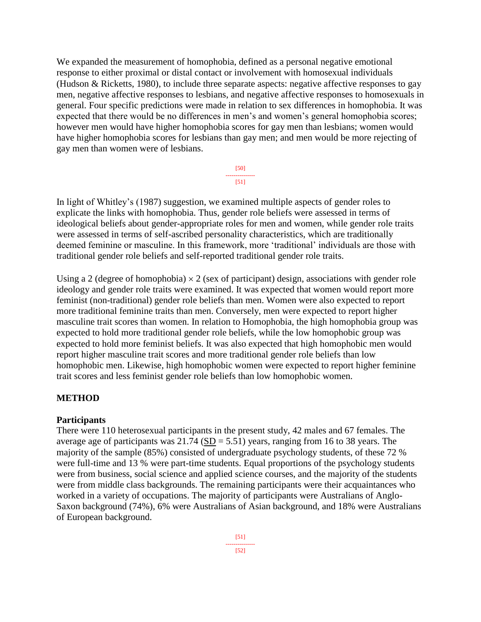We expanded the measurement of homophobia, defined as a personal negative emotional response to either proximal or distal contact or involvement with homosexual individuals (Hudson & Ricketts, 1980), to include three separate aspects: negative affective responses to gay men, negative affective responses to lesbians, and negative affective responses to homosexuals in general. Four specific predictions were made in relation to sex differences in homophobia. It was expected that there would be no differences in men's and women's general homophobia scores; however men would have higher homophobia scores for gay men than lesbians; women would have higher homophobia scores for lesbians than gay men; and men would be more rejecting of gay men than women were of lesbians.

> [50] --------------- [51]

In light of Whitley's (1987) suggestion, we examined multiple aspects of gender roles to explicate the links with homophobia. Thus, gender role beliefs were assessed in terms of ideological beliefs about gender-appropriate roles for men and women, while gender role traits were assessed in terms of self-ascribed personality characteristics, which are traditionally deemed feminine or masculine. In this framework, more 'traditional' individuals are those with traditional gender role beliefs and self-reported traditional gender role traits.

Using a 2 (degree of homophobia)  $\times$  2 (sex of participant) design, associations with gender role ideology and gender role traits were examined. It was expected that women would report more feminist (non-traditional) gender role beliefs than men. Women were also expected to report more traditional feminine traits than men. Conversely, men were expected to report higher masculine trait scores than women. In relation to Homophobia, the high homophobia group was expected to hold more traditional gender role beliefs, while the low homophobic group was expected to hold more feminist beliefs. It was also expected that high homophobic men would report higher masculine trait scores and more traditional gender role beliefs than low homophobic men. Likewise, high homophobic women were expected to report higher feminine trait scores and less feminist gender role beliefs than low homophobic women.

# **METHOD**

#### **Participants**

There were 110 heterosexual participants in the present study, 42 males and 67 females. The average age of participants was  $21.74$  (SD = 5.51) years, ranging from 16 to 38 years. The majority of the sample (85%) consisted of undergraduate psychology students, of these 72 % were full-time and 13 % were part-time students. Equal proportions of the psychology students were from business, social science and applied science courses, and the majority of the students were from middle class backgrounds. The remaining participants were their acquaintances who worked in a variety of occupations. The majority of participants were Australians of Anglo-Saxon background (74%), 6% were Australians of Asian background, and 18% were Australians of European background.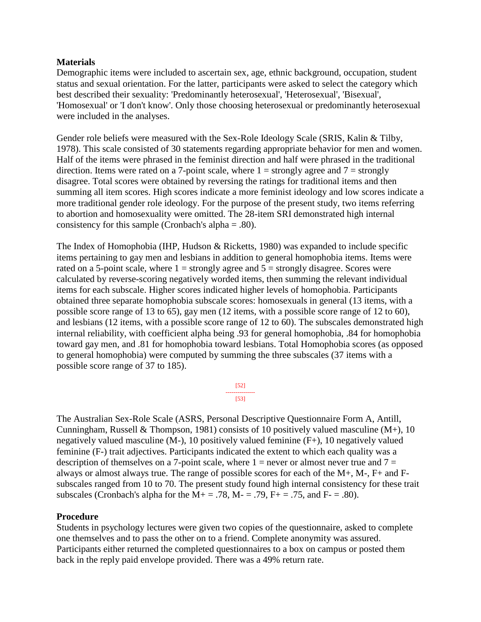#### **Materials**

Demographic items were included to ascertain sex, age, ethnic background, occupation, student status and sexual orientation. For the latter, participants were asked to select the category which best described their sexuality: 'Predominantly heterosexual', 'Heterosexual', 'Bisexual', 'Homosexual' or 'I don't know'. Only those choosing heterosexual or predominantly heterosexual were included in the analyses.

Gender role beliefs were measured with the Sex-Role Ideology Scale (SRIS, Kalin & Tilby, 1978). This scale consisted of 30 statements regarding appropriate behavior for men and women. Half of the items were phrased in the feminist direction and half were phrased in the traditional direction. Items were rated on a 7-point scale, where  $1 =$  strongly agree and  $7 =$  strongly disagree. Total scores were obtained by reversing the ratings for traditional items and then summing all item scores. High scores indicate a more feminist ideology and low scores indicate a more traditional gender role ideology. For the purpose of the present study, two items referring to abortion and homosexuality were omitted. The 28-item SRI demonstrated high internal consistency for this sample (Cronbach's alpha  $= .80$ ).

The Index of Homophobia (IHP, Hudson & Ricketts, 1980) was expanded to include specific items pertaining to gay men and lesbians in addition to general homophobia items. Items were rated on a 5-point scale, where  $1 =$  strongly agree and  $5 =$  strongly disagree. Scores were calculated by reverse-scoring negatively worded items, then summing the relevant individual items for each subscale. Higher scores indicated higher levels of homophobia. Participants obtained three separate homophobia subscale scores: homosexuals in general (13 items, with a possible score range of 13 to 65), gay men (12 items, with a possible score range of 12 to 60), and lesbians (12 items, with a possible score range of 12 to 60). The subscales demonstrated high internal reliability, with coefficient alpha being .93 for general homophobia, .84 for homophobia toward gay men, and .81 for homophobia toward lesbians. Total Homophobia scores (as opposed to general homophobia) were computed by summing the three subscales (37 items with a possible score range of 37 to 185).



The Australian Sex-Role Scale (ASRS, Personal Descriptive Questionnaire Form A, Antill, Cunningham, Russell & Thompson, 1981) consists of 10 positively valued masculine  $(M<sub>+</sub>)$ , 10 negatively valued masculine (M-), 10 positively valued feminine (F+), 10 negatively valued feminine (F-) trait adjectives. Participants indicated the extent to which each quality was a description of themselves on a 7-point scale, where  $1 =$  never or almost never true and  $7 =$ always or almost always true. The range of possible scores for each of the M+, M-, F+ and Fsubscales ranged from 10 to 70. The present study found high internal consistency for these trait subscales (Cronbach's alpha for the  $M_{+} = .78$ ,  $M_{-} = .79$ ,  $F_{+} = .75$ , and  $F_{-} = .80$ ).

#### **Procedure**

Students in psychology lectures were given two copies of the questionnaire, asked to complete one themselves and to pass the other on to a friend. Complete anonymity was assured. Participants either returned the completed questionnaires to a box on campus or posted them back in the reply paid envelope provided. There was a 49% return rate.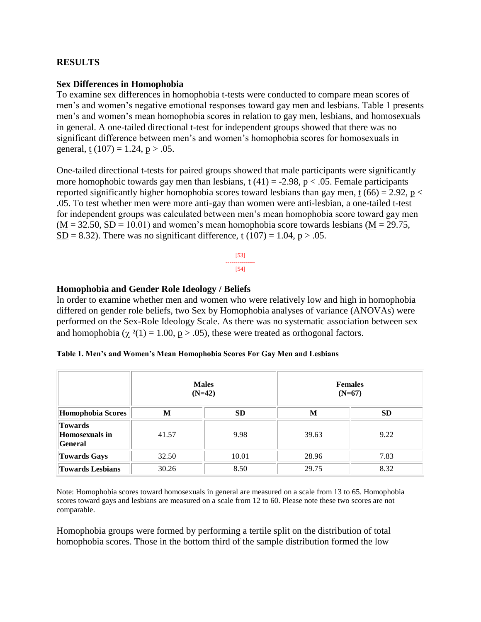## **RESULTS**

#### **Sex Differences in Homophobia**

To examine sex differences in homophobia t-tests were conducted to compare mean scores of men's and women's negative emotional responses toward gay men and lesbians. Table 1 presents men's and women's mean homophobia scores in relation to gay men, lesbians, and homosexuals in general. A one-tailed directional t-test for independent groups showed that there was no significant difference between men's and women's homophobia scores for homosexuals in general,  $t(107) = 1.24$ ,  $p > .05$ .

One-tailed directional t-tests for paired groups showed that male participants were significantly more homophobic towards gay men than lesbians,  $t(41) = -2.98$ ,  $p < .05$ . Female participants reported significantly higher homophobia scores toward lesbians than gay men, t (66) = 2.92, p < .05. To test whether men were more anti-gay than women were anti-lesbian, a one-tailed t-test for independent groups was calculated between men's mean homophobia score toward gay men  $(M = 32.50, SD = 10.01)$  and women's mean homophobia score towards lesbians  $(M = 29.75,$ SD = 8.32). There was no significant difference, t (107) = 1.04, p > .05.

#### **Homophobia and Gender Role Ideology / Beliefs**

In order to examine whether men and women who were relatively low and high in homophobia differed on gender role beliefs, two Sex by Homophobia analyses of variance (ANOVAs) were performed on the Sex-Role Ideology Scale. As there was no systematic association between sex and homophobia ( $\chi^2(1) = 1.00$ ,  $p > .05$ ), these were treated as orthogonal factors.

|                                                           | <b>Males</b><br>$(N=42)$ |           | <b>Females</b><br>$(N=67)$ |           |
|-----------------------------------------------------------|--------------------------|-----------|----------------------------|-----------|
| Homophobia Scores                                         | M                        | <b>SD</b> | M                          | <b>SD</b> |
| <b>Towards</b><br><b>Homosexuals in</b><br><b>General</b> | 41.57                    | 9.98      | 39.63                      | 9.22      |
| <b>Towards Gays</b>                                       | 32.50                    | 10.01     | 28.96                      | 7.83      |
| <b>Towards Lesbians</b>                                   | 30.26                    | 8.50      | 29.75                      | 8.32      |

Note: Homophobia scores toward homosexuals in general are measured on a scale from 13 to 65. Homophobia scores toward gays and lesbians are measured on a scale from 12 to 60. Please note these two scores are not comparable.

Homophobia groups were formed by performing a tertile split on the distribution of total homophobia scores. Those in the bottom third of the sample distribution formed the low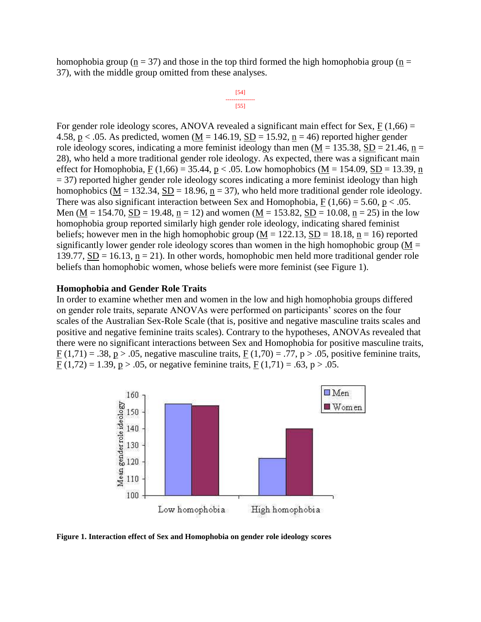homophobia group ( $n = 37$ ) and those in the top third formed the high homophobia group ( $n =$ 37), with the middle group omitted from these analyses.

$$
\begin{array}{c}\n [54] \\
\overline{[55]} \\
\end{array}
$$

For gender role ideology scores, ANOVA revealed a significant main effect for Sex,  $F(1,66) =$ 4.58, p < .05. As predicted, women ( $M = 146.19$ ,  $SD = 15.92$ , n = 46) reported higher gender role ideology scores, indicating a more feminist ideology than men ( $M = 135.38$ ,  $SD = 21.46$ , n = 28), who held a more traditional gender role ideology. As expected, there was a significant main effect for Homophobia, F (1,66) = 35.44, p < .05. Low homophobics (M = 154.09, SD = 13.39, n = 37) reported higher gender role ideology scores indicating a more feminist ideology than high homophobics ( $M = 132.34$ ,  $SD = 18.96$ ,  $n = 37$ ), who held more traditional gender role ideology. There was also significant interaction between Sex and Homophobia,  $F(1,66) = 5.60$ , p < .05. Men (M = 154.70, SD = 19.48, n = 12) and women (M = 153.82, SD = 10.08, n = 25) in the low homophobia group reported similarly high gender role ideology, indicating shared feminist beliefs; however men in the high homophobic group ( $M = 122.13$ ,  $SD = 18.18$ ,  $n = 16$ ) reported significantly lower gender role ideology scores than women in the high homophobic group ( $M =$ 139.77,  $SD = 16.13$ ,  $n = 21$ ). In other words, homophobic men held more traditional gender role beliefs than homophobic women, whose beliefs were more feminist (see Figure 1).

#### **Homophobia and Gender Role Traits**

In order to examine whether men and women in the low and high homophobia groups differed on gender role traits, separate ANOVAs were performed on participants' scores on the four scales of the Australian Sex-Role Scale (that is, positive and negative masculine traits scales and positive and negative feminine traits scales). Contrary to the hypotheses, ANOVAs revealed that there were no significant interactions between Sex and Homophobia for positive masculine traits,  $F(1,71) = .38$ ,  $p > .05$ , negative masculine traits,  $F(1,70) = .77$ ,  $p > .05$ , positive feminine traits,  $F(1,72) = 1.39$ ,  $p > .05$ , or negative feminine traits,  $F(1,71) = .63$ ,  $p > .05$ .



**Figure 1. Interaction effect of Sex and Homophobia on gender role ideology scores**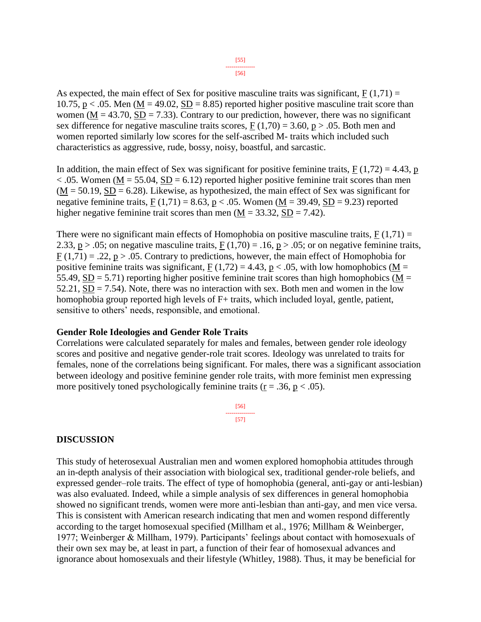[56]

As expected, the main effect of Sex for positive masculine traits was significant,  $F(1,71) =$ 10.75, p  $\lt$  .05. Men (M = 49.02, SD = 8.85) reported higher positive masculine trait score than women ( $M = 43.70$ ,  $SD = 7.33$ ). Contrary to our prediction, however, there was no significant sex difference for negative masculine traits scores,  $F(1,70) = 3.60$ ,  $p > .05$ . Both men and women reported similarly low scores for the self-ascribed M- traits which included such characteristics as aggressive, rude, bossy, noisy, boastful, and sarcastic.

In addition, the main effect of Sex was significant for positive feminine traits,  $F(1,72) = 4.43$ , p  $< .05$ . Women (M = 55.04, SD = 6.12) reported higher positive feminine trait scores than men  $(\underline{M} = 50.19, \underline{SD} = 6.28)$ . Likewise, as hypothesized, the main effect of Sex was significant for negative feminine traits,  $\underline{F}(1,71) = 8.63$ ,  $\underline{p} < .05$ . Women ( $\underline{M} = 39.49$ ,  $\underline{SD} = 9.23$ ) reported higher negative feminine trait scores than men  $(M = 33.32, SD = 7.42)$ .

There were no significant main effects of Homophobia on positive masculine traits,  $F(1,71) =$ 2.33,  $p > .05$ ; on negative masculine traits,  $F(1,70) = .16$ ,  $p > .05$ ; or on negative feminine traits,  $F(1,71) = .22$ ,  $p > .05$ . Contrary to predictions, however, the main effect of Homophobia for positive feminine traits was significant,  $F(1,72) = 4.43$ ,  $p < .05$ , with low homophobics (M = 55.49, SD = 5.71) reporting higher positive feminine trait scores than high homophobics ( $M =$  $52.21$ ,  $SD = 7.54$ ). Note, there was no interaction with sex. Both men and women in the low homophobia group reported high levels of F+ traits, which included loyal, gentle, patient, sensitive to others' needs, responsible, and emotional.

#### **Gender Role Ideologies and Gender Role Traits**

Correlations were calculated separately for males and females, between gender role ideology scores and positive and negative gender-role trait scores. Ideology was unrelated to traits for females, none of the correlations being significant. For males, there was a significant association between ideology and positive feminine gender role traits, with more feminist men expressing more positively toned psychologically feminine traits ( $r = .36$ ,  $p < .05$ ).

> [56] --------------- [57]

#### **DISCUSSION**

This study of heterosexual Australian men and women explored homophobia attitudes through an in-depth analysis of their association with biological sex, traditional gender-role beliefs, and expressed gender–role traits. The effect of type of homophobia (general, anti-gay or anti-lesbian) was also evaluated. Indeed, while a simple analysis of sex differences in general homophobia showed no significant trends, women were more anti-lesbian than anti-gay, and men vice versa. This is consistent with American research indicating that men and women respond differently according to the target homosexual specified (Millham et al., 1976; Millham & Weinberger, 1977; Weinberger & Millham, 1979). Participants' feelings about contact with homosexuals of their own sex may be, at least in part, a function of their fear of homosexual advances and ignorance about homosexuals and their lifestyle (Whitley, 1988). Thus, it may be beneficial for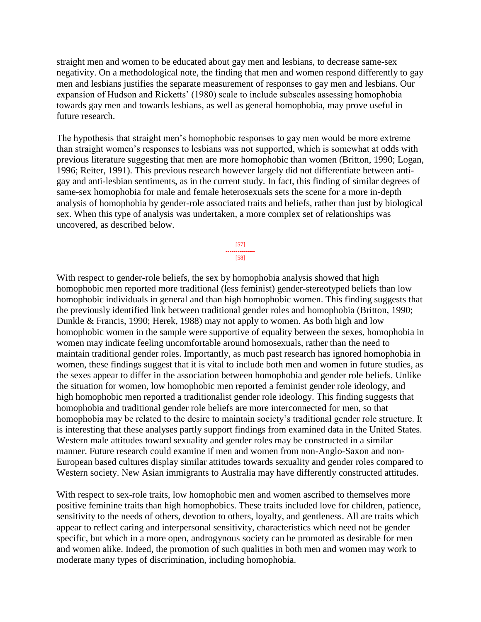straight men and women to be educated about gay men and lesbians, to decrease same-sex negativity. On a methodological note, the finding that men and women respond differently to gay men and lesbians justifies the separate measurement of responses to gay men and lesbians. Our expansion of Hudson and Ricketts' (1980) scale to include subscales assessing homophobia towards gay men and towards lesbians, as well as general homophobia, may prove useful in future research.

The hypothesis that straight men's homophobic responses to gay men would be more extreme than straight women's responses to lesbians was not supported, which is somewhat at odds with previous literature suggesting that men are more homophobic than women (Britton, 1990; Logan, 1996; Reiter, 1991). This previous research however largely did not differentiate between antigay and anti-lesbian sentiments, as in the current study. In fact, this finding of similar degrees of same-sex homophobia for male and female heterosexuals sets the scene for a more in-depth analysis of homophobia by gender-role associated traits and beliefs, rather than just by biological sex. When this type of analysis was undertaken, a more complex set of relationships was uncovered, as described below.

> [57] --------------- [58]

With respect to gender-role beliefs, the sex by homophobia analysis showed that high homophobic men reported more traditional (less feminist) gender-stereotyped beliefs than low homophobic individuals in general and than high homophobic women. This finding suggests that the previously identified link between traditional gender roles and homophobia (Britton, 1990; Dunkle & Francis, 1990; Herek, 1988) may not apply to women. As both high and low homophobic women in the sample were supportive of equality between the sexes, homophobia in women may indicate feeling uncomfortable around homosexuals, rather than the need to maintain traditional gender roles. Importantly, as much past research has ignored homophobia in women, these findings suggest that it is vital to include both men and women in future studies, as the sexes appear to differ in the association between homophobia and gender role beliefs. Unlike the situation for women, low homophobic men reported a feminist gender role ideology, and high homophobic men reported a traditionalist gender role ideology. This finding suggests that homophobia and traditional gender role beliefs are more interconnected for men, so that homophobia may be related to the desire to maintain society's traditional gender role structure. It is interesting that these analyses partly support findings from examined data in the United States. Western male attitudes toward sexuality and gender roles may be constructed in a similar manner. Future research could examine if men and women from non-Anglo-Saxon and non-European based cultures display similar attitudes towards sexuality and gender roles compared to Western society. New Asian immigrants to Australia may have differently constructed attitudes.

With respect to sex-role traits, low homophobic men and women ascribed to themselves more positive feminine traits than high homophobics. These traits included love for children, patience, sensitivity to the needs of others, devotion to others, loyalty, and gentleness. All are traits which appear to reflect caring and interpersonal sensitivity, characteristics which need not be gender specific, but which in a more open, androgynous society can be promoted as desirable for men and women alike. Indeed, the promotion of such qualities in both men and women may work to moderate many types of discrimination, including homophobia.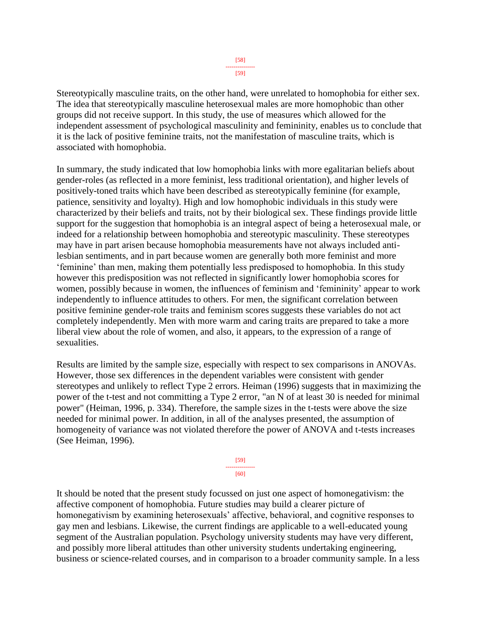Stereotypically masculine traits, on the other hand, were unrelated to homophobia for either sex. The idea that stereotypically masculine heterosexual males are more homophobic than other groups did not receive support. In this study, the use of measures which allowed for the independent assessment of psychological masculinity and femininity, enables us to conclude that it is the lack of positive feminine traits, not the manifestation of masculine traits, which is associated with homophobia.

In summary, the study indicated that low homophobia links with more egalitarian beliefs about gender-roles (as reflected in a more feminist, less traditional orientation), and higher levels of positively-toned traits which have been described as stereotypically feminine (for example, patience, sensitivity and loyalty). High and low homophobic individuals in this study were characterized by their beliefs and traits, not by their biological sex. These findings provide little support for the suggestion that homophobia is an integral aspect of being a heterosexual male, or indeed for a relationship between homophobia and stereotypic masculinity. These stereotypes may have in part arisen because homophobia measurements have not always included antilesbian sentiments, and in part because women are generally both more feminist and more 'feminine' than men, making them potentially less predisposed to homophobia. In this study however this predisposition was not reflected in significantly lower homophobia scores for women, possibly because in women, the influences of feminism and 'femininity' appear to work independently to influence attitudes to others. For men, the significant correlation between positive feminine gender-role traits and feminism scores suggests these variables do not act completely independently. Men with more warm and caring traits are prepared to take a more liberal view about the role of women, and also, it appears, to the expression of a range of sexualities.

Results are limited by the sample size, especially with respect to sex comparisons in ANOVAs. However, those sex differences in the dependent variables were consistent with gender stereotypes and unlikely to reflect Type 2 errors. Heiman (1996) suggests that in maximizing the power of the t-test and not committing a Type 2 error, "an N of at least 30 is needed for minimal power" (Heiman, 1996, p. 334). Therefore, the sample sizes in the t-tests were above the size needed for minimal power. In addition, in all of the analyses presented, the assumption of homogeneity of variance was not violated therefore the power of ANOVA and t-tests increases (See Heiman, 1996).

> [59] --------------- [60]

It should be noted that the present study focussed on just one aspect of homonegativism: the affective component of homophobia. Future studies may build a clearer picture of homonegativism by examining heterosexuals' affective, behavioral, and cognitive responses to gay men and lesbians. Likewise, the current findings are applicable to a well-educated young segment of the Australian population. Psychology university students may have very different, and possibly more liberal attitudes than other university students undertaking engineering, business or science-related courses, and in comparison to a broader community sample. In a less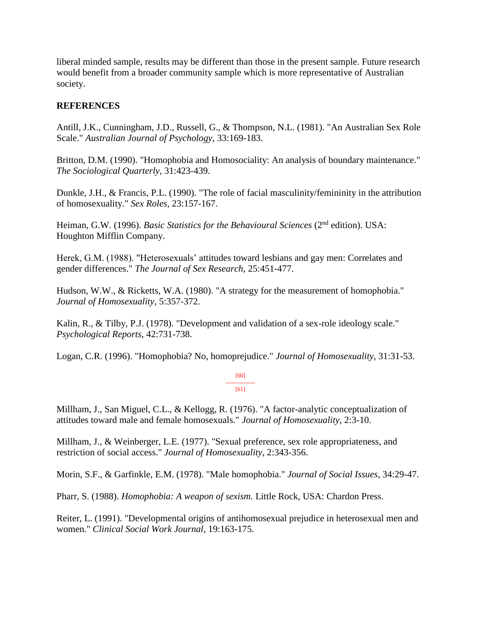liberal minded sample, results may be different than those in the present sample. Future research would benefit from a broader community sample which is more representative of Australian society.

# **REFERENCES**

Antill, J.K., Cunningham, J.D., Russell, G., & Thompson, N.L. (1981). "An Australian Sex Role Scale." *Australian Journal of Psychology*, 33:169-183.

Britton, D.M. (1990). "Homophobia and Homosociality: An analysis of boundary maintenance." *The Sociological Quarterly*, 31:423-439.

Dunkle, J.H., & Francis, P.L. (1990). "The role of facial masculinity/femininity in the attribution of homosexuality." *Sex Roles*, 23:157-167.

Heiman, G.W. (1996). *Basic Statistics for the Behavioural Sciences* (2<sup>nd</sup> edition). USA: Houghton Mifflin Company.

Herek, G.M. (1988). "Heterosexuals' attitudes toward lesbians and gay men: Correlates and gender differences." *The Journal of Sex Research*, 25:451-477.

Hudson, W.W., & Ricketts, W.A. (1980). "A strategy for the measurement of homophobia." *Journal of Homosexuality*, 5:357-372.

Kalin, R., & Tilby, P.J. (1978). "Development and validation of a sex-role ideology scale." *Psychological Reports*, 42:731-738.

Logan, C.R. (1996). "Homophobia? No, homoprejudice." *Journal of Homosexuality*, 31:31-53.

[60] --------------- [61]

Millham, J., San Miguel, C.L., & Kellogg, R. (1976). "A factor-analytic conceptualization of attitudes toward male and female homosexuals." *Journal of Homosexuality*, 2:3-10.

Millham, J., & Weinberger, L.E. (1977). "Sexual preference, sex role appropriateness, and restriction of social access." *Journal of Homosexuality*, 2:343-356.

Morin, S.F., & Garfinkle, E.M. (1978). "Male homophobia." *Journal of Social Issues*, 34:29-47.

Pharr, S. (1988). *Homophobia: A weapon of sexism.* Little Rock, USA: Chardon Press.

Reiter, L. (1991). "Developmental origins of antihomosexual prejudice in heterosexual men and women." *Clinical Social Work Journal*, 19:163-175.